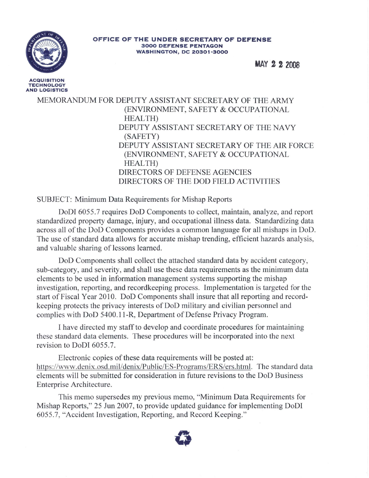

**ACQUISITION TECHNOLOGY AND LOGISTICS**

## **OFFICE OF THE UNDER SECRETARY OF DEFENSE 3000 DEFENSE PENTAGON WASHINGTON, DC 20301-3000**

**MAY 222008**

MEMORANDUM FOR DEPUTY ASSISTANT SECRETARY OF THE ARMY (ENVIRONMENT, SAFETY & OCCUPATIONAL HEALTH) DEPUTY ASSISTANT SECRETARY OF THE NAVY (SAFETY) DEPUTY ASSISTANT SECRETARY OF THE AIR FORCE (ENVIRONMENT, SAFETY & OCCUPATIONAL HEALTH) DIRECTORS OF DEFENSE AGENCIES DIRECTORS OF THE DOD FIELD ACTIVITIES

SUBJECT: Minimum Data Requirements for Mishap Reports

DoDI 6055.7 requires DoD Components to collect, maintain, analyze, and report standardized property damage, injury, and occupational illness data. Standardizing data across all of the DoD Components provides a common language for all mishaps in DoD. The use of standard data allows for accurate mishap trending, efficient hazards analysis, and valuable sharing of lessons learned.

DoD Components shall collect the attached standard data by accident category, sub-category, and severity, and shall use these data requirements as the minimum data elements to be used in information management systems supporting the mishap investigation, reporting, and recordkeeping process. Implementation is targeted for the start of Fiscal Year 2010. DoD Components shall insure that all reporting and recordkeeping protects the privacy interests of DoD military and civilian personnel and complies with DoD 5400.11-R, Department of Defense Privacy Program.

I have directed my staffto develop and coordinate procedures for maintaining these standard data elements. These procedures will be incorporated into the next revision to DoDI 6055.7.

Electronic copies of these data requirements will be posted at: https://www.denix.osd.mil/denix/Public/ES-Programs/ERS/ers.htm!. The standard data elements will be submitted for consideration in future revisions to the DoD Business Enterprise Architecture.

This memo supersedes my previous memo, "Minimum Data Requirements for Mishap Reports," 25 Jun 2007, to provide updated guidance for implementing DoDI 6055.7, "Accident Investigation, Reporting, and Record Keeping."